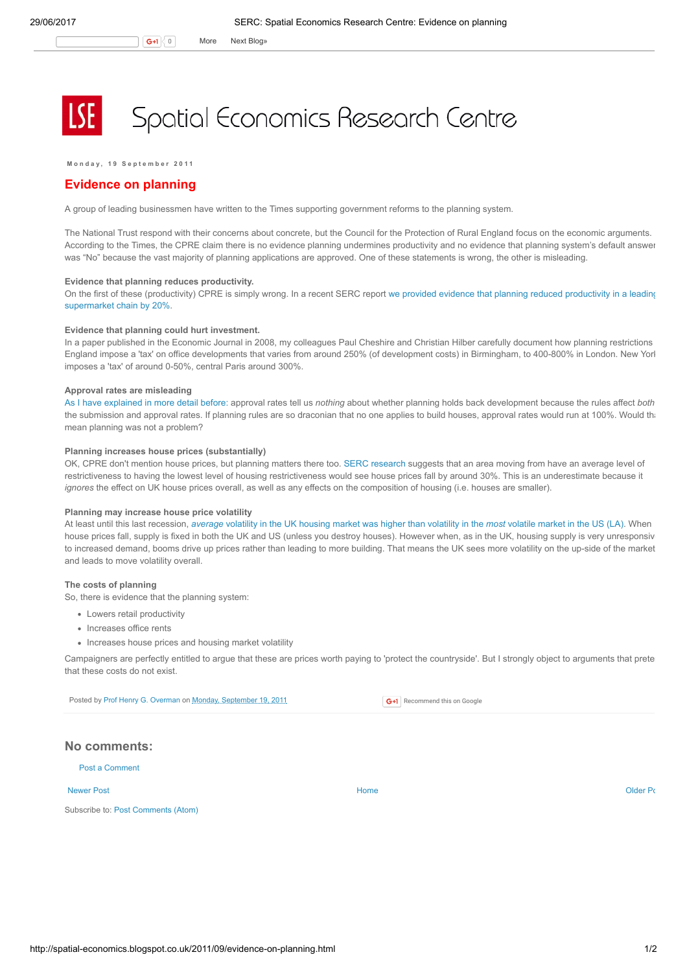# Spatial Economics Research Centre

Monday, 19 September 2011

# Evidence on planning

A group of leading businessmen have written to the Times supporting government reforms to the planning system.

The National Trust respond with their concerns about concrete, but the Council for the Protection of Rural England focus on the economic arguments. According to the Times, the CPRE claim there is no evidence planning undermines productivity and no evidence that planning system's default answer was "No" because the vast majority of planning applications are approved. One of these statements is wrong, the other is misleading.

## Evidence that planning reduces productivity.

On the first of these [\(productivity\)](http://www.spatialeconomics.ac.uk/textonly/SERC/publications/download/sercdp0066.pdf) CPRE is simply wrong. In a recent SERC report we provided evidence that planning reduced productivity in a leading supermarket chain by 20%.

#### Evidence that planning could hurt investment.

In a paper published in the Economic Journal in 2008, my colleagues Paul Cheshire and Christian Hilber carefully document how planning restrictions England impose a 'tax' on office developments that varies from around 250% (of development costs) in Birmingham, to 400-800% in London. New Yorl imposes a 'tax' of around 0-50%, central Paris around 300%.

#### Approval rates are misleading

As I have [explained](http://spatial-economics.blogspot.com/2011/04/planning-permission-granted.html) in more detail before: approval rates tell us nothing about whether planning holds back development because the rules affect both the submission and approval rates. If planning rules are so draconian that no one applies to build houses, approval rates would run at 100%. Would that mean planning was not a problem?

### Planning increases house prices (substantially)

OK, CPRE don't mention house prices, but planning matters there too. SERC [research](http://www.communities.gov.uk/documents/housing/pdf/1767142.pdf) suggests that an area moving from have an average level of restrictiveness to having the lowest level of housing restrictiveness would see house prices fall by around 30%. This is an underestimate because it ignores the effect on UK house prices overall, as well as any effects on the composition of housing (i.e. houses are smaller).

#### Planning may increase house price volatility

At least until this last recession, [average](http://www.spatialeconomics.ac.uk/textonly/SERC/publications/download/sercpp004.pdf) volatility in the UK housing market was higher than volatility in the most volatile market in the US (LA). When house prices fall, supply is fixed in both the UK and US (unless you destroy houses). However when, as in the UK, housing supply is very unresponsiv to increased demand, booms drive up prices rather than leading to more building. That means the UK sees more volatility on the up-side of the market and leads to move volatility overall.

### The costs of planning

So, there is evidence that the planning system:

- Lowers retail productivity
- Increases office rents
- Increases house prices and housing market volatility

Campaigners are perfectly entitled to argue that these are prices worth paying to 'protect the countryside'. But I strongly object to arguments that prete that these costs do not exist.

Posted by Prof Henry G. [Overman](https://www.blogger.com/profile/15203876610491317062) on Monday, [September](http://spatial-economics.blogspot.co.uk/2011/09/evidence-on-planning.html) 19, 2011

G+1 Recommend this on Google

# No comments:

Post a [Comment](https://www.blogger.com/comment.g?blogID=974562301377041914&postID=2665383442212723208)

#### [Newer](http://spatial-economics.blogspot.co.uk/2011/09/adapting-to-climate-change.html) Post and the contract of the contract of the contract [Home](http://spatial-economics.blogspot.co.uk/) contract of the contract of the contract of the contract of the contract of the contract of the contract of the contract of the contract of the contract of t

Subscribe to: Post [Comments](http://spatial-economics.blogspot.com/feeds/2665383442212723208/comments/default) (Atom)